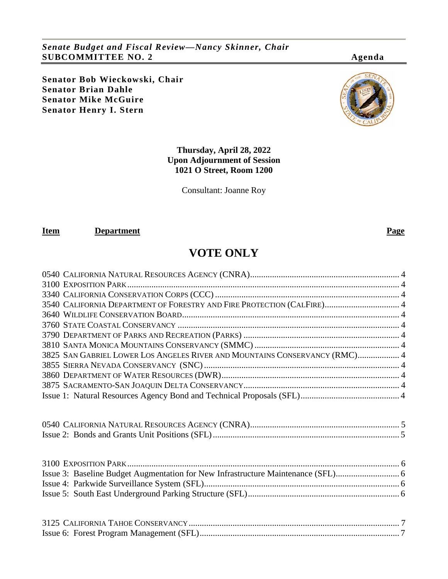*Senate Budget and Fiscal Review—Nancy Skinner, Chair* **SUBCOMMITTEE NO. 2 Agenda**

**Senator Bob Wieckowski, Chair Senator Brian Dahle Senator Mike McGuire Senator Henry I. Stern**



Consultant: Joanne Roy

#### **Item Department Page**

# **VOTE ONLY**

| 3540 CALIFORNIA DEPARTMENT OF FORESTRY AND FIRE PROTECTION (CALFIRE) 4     |  |
|----------------------------------------------------------------------------|--|
|                                                                            |  |
|                                                                            |  |
|                                                                            |  |
|                                                                            |  |
| 3825 SAN GABRIEL LOWER LOS ANGELES RIVER AND MOUNTAINS CONSERVANCY (RMC) 4 |  |
|                                                                            |  |
|                                                                            |  |
|                                                                            |  |
|                                                                            |  |
|                                                                            |  |
|                                                                            |  |
|                                                                            |  |
|                                                                            |  |
|                                                                            |  |
|                                                                            |  |
|                                                                            |  |
|                                                                            |  |
|                                                                            |  |
|                                                                            |  |
|                                                                            |  |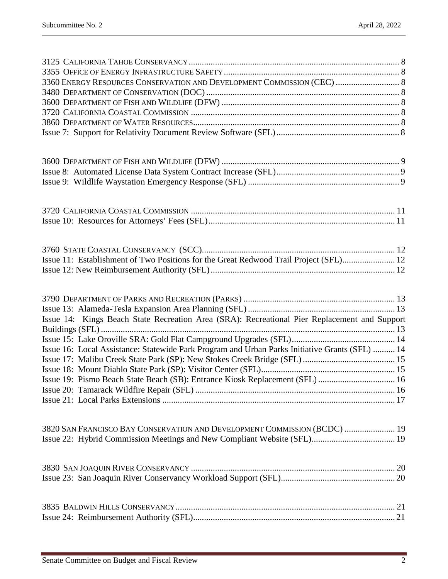| 3360 ENERGY RESOURCES CONSERVATION AND DEVELOPMENT COMMISSION (CEC)  8                         |  |
|------------------------------------------------------------------------------------------------|--|
|                                                                                                |  |
|                                                                                                |  |
|                                                                                                |  |
|                                                                                                |  |
|                                                                                                |  |
|                                                                                                |  |
|                                                                                                |  |
|                                                                                                |  |
|                                                                                                |  |
|                                                                                                |  |
|                                                                                                |  |
|                                                                                                |  |
|                                                                                                |  |
|                                                                                                |  |
|                                                                                                |  |
| Issue 11: Establishment of Two Positions for the Great Redwood Trail Project (SFL) 12          |  |
|                                                                                                |  |
|                                                                                                |  |
|                                                                                                |  |
|                                                                                                |  |
| Issue 14: Kings Beach State Recreation Area (SRA): Recreational Pier Replacement and Support   |  |
|                                                                                                |  |
| Issue 16: Local Assistance: Statewide Park Program and Urban Parks Initiative Grants (SFL)  14 |  |
|                                                                                                |  |
|                                                                                                |  |
| Issue 19: Pismo Beach State Beach (SB): Entrance Kiosk Replacement (SFL)  16                   |  |
|                                                                                                |  |
|                                                                                                |  |
|                                                                                                |  |
| 3820 SAN FRANCISCO BAY CONSERVATION AND DEVELOPMENT COMMISSION (BCDC)  19                      |  |
|                                                                                                |  |
|                                                                                                |  |
|                                                                                                |  |
|                                                                                                |  |
|                                                                                                |  |
|                                                                                                |  |
|                                                                                                |  |
|                                                                                                |  |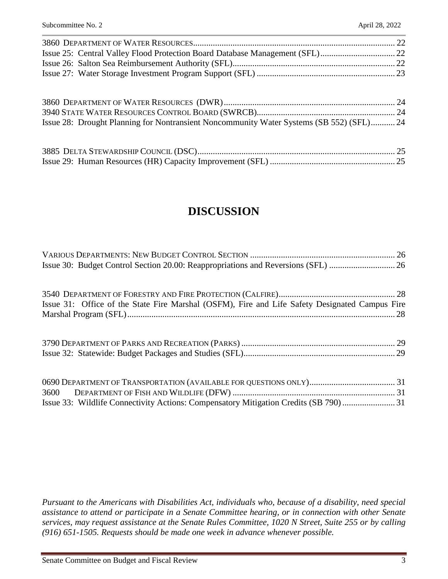| Issue 28: Drought Planning for Nontransient Noncommunity Water Systems (SB 552) (SFL) 24 |  |
|------------------------------------------------------------------------------------------|--|

# **DISCUSSION**

| Issue 30: Budget Control Section 20.00: Reappropriations and Reversions (SFL)  26              |  |
|------------------------------------------------------------------------------------------------|--|
|                                                                                                |  |
|                                                                                                |  |
| Issue 31: Office of the State Fire Marshal (OSFM), Fire and Life Safety Designated Campus Fire |  |
|                                                                                                |  |
|                                                                                                |  |
|                                                                                                |  |
|                                                                                                |  |
|                                                                                                |  |
|                                                                                                |  |
|                                                                                                |  |

*Pursuant to the Americans with Disabilities Act, individuals who, because of a disability, need special assistance to attend or participate in a Senate Committee hearing, or in connection with other Senate services, may request assistance at the Senate Rules Committee, 1020 N Street, Suite 255 or by calling (916) 651-1505. Requests should be made one week in advance whenever possible.*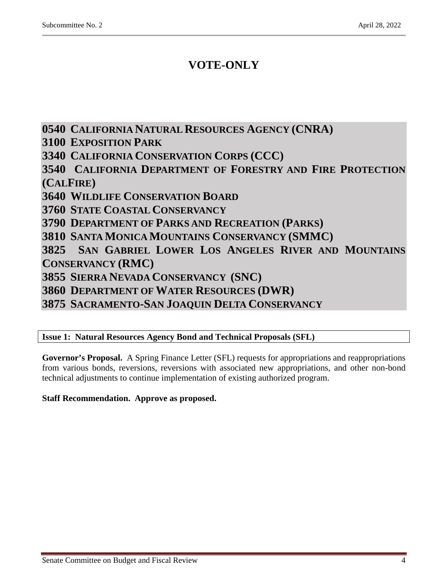# **VOTE-ONLY**

<span id="page-3-6"></span><span id="page-3-5"></span><span id="page-3-4"></span><span id="page-3-3"></span><span id="page-3-2"></span><span id="page-3-1"></span><span id="page-3-0"></span>**0540 CALIFORNIA NATURAL RESOURCES AGENCY (CNRA) 3100 EXPOSITION PARK 3340 CALIFORNIA CONSERVATION CORPS (CCC) 3540 CALIFORNIA DEPARTMENT OF FORESTRY AND FIRE PROTECTION (CALFIRE) 3640 WILDLIFE CONSERVATION BOARD 3760 STATE COASTAL CONSERVANCY 3790 DEPARTMENT OF PARKS AND RECREATION (PARKS) 3810 SANTA MONICA MOUNTAINS CONSERVANCY (SMMC) 3825 SAN GABRIEL LOWER LOS ANGELES RIVER AND MOUNTAINS CONSERVANCY (RMC) 3855 SIERRA NEVADA CONSERVANCY (SNC) 3860 DEPARTMENT OF WATER RESOURCES (DWR) 3875 SACRAMENTO-SAN JOAQUIN DELTA CONSERVANCY**

<span id="page-3-12"></span><span id="page-3-11"></span><span id="page-3-10"></span><span id="page-3-9"></span><span id="page-3-8"></span><span id="page-3-7"></span>**Issue 1: Natural Resources Agency Bond and Technical Proposals (SFL)**

**Governor's Proposal.** A Spring Finance Letter (SFL) requests for appropriations and reappropriations from various bonds, reversions, reversions with associated new appropriations, and other non-bond technical adjustments to continue implementation of existing authorized program.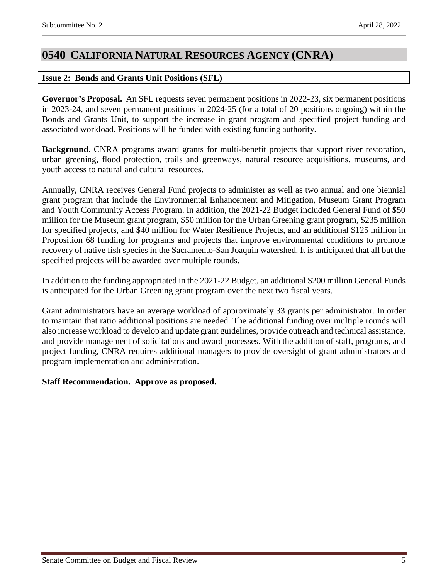# <span id="page-4-0"></span>**0540 CALIFORNIA NATURAL RESOURCES AGENCY (CNRA)**

## <span id="page-4-1"></span>**Issue 2: Bonds and Grants Unit Positions (SFL)**

**Governor's Proposal.** An SFL requests seven permanent positions in 2022-23, six permanent positions in 2023-24, and seven permanent positions in 2024-25 (for a total of 20 positions ongoing) within the Bonds and Grants Unit, to support the increase in grant program and specified project funding and associated workload. Positions will be funded with existing funding authority.

**Background.** CNRA programs award grants for multi-benefit projects that support river restoration, urban greening, flood protection, trails and greenways, natural resource acquisitions, museums, and youth access to natural and cultural resources.

Annually, CNRA receives General Fund projects to administer as well as two annual and one biennial grant program that include the Environmental Enhancement and Mitigation, Museum Grant Program and Youth Community Access Program. In addition, the 2021-22 Budget included General Fund of \$50 million for the Museum grant program, \$50 million for the Urban Greening grant program, \$235 million for specified projects, and \$40 million for Water Resilience Projects, and an additional \$125 million in Proposition 68 funding for programs and projects that improve environmental conditions to promote recovery of native fish species in the Sacramento-San Joaquin watershed. It is anticipated that all but the specified projects will be awarded over multiple rounds.

In addition to the funding appropriated in the 2021-22 Budget, an additional \$200 million General Funds is anticipated for the Urban Greening grant program over the next two fiscal years.

Grant administrators have an average workload of approximately 33 grants per administrator. In order to maintain that ratio additional positions are needed. The additional funding over multiple rounds will also increase workload to develop and update grant guidelines, provide outreach and technical assistance, and provide management of solicitations and award processes. With the addition of staff, programs, and project funding, CNRA requires additional managers to provide oversight of grant administrators and program implementation and administration.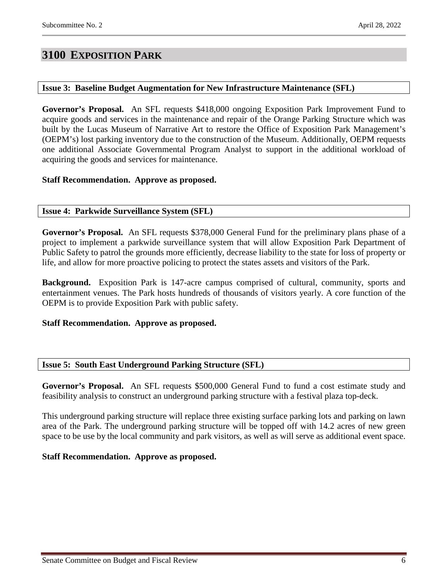# <span id="page-5-0"></span>**3100 EXPOSITION PARK**

#### <span id="page-5-1"></span>**Issue 3: Baseline Budget Augmentation for New Infrastructure Maintenance (SFL)**

**Governor's Proposal.** An SFL requests \$418,000 ongoing Exposition Park Improvement Fund to acquire goods and services in the maintenance and repair of the Orange Parking Structure which was built by the Lucas Museum of Narrative Art to restore the Office of Exposition Park Management's (OEPM's) lost parking inventory due to the construction of the Museum. Additionally, OEPM requests one additional Associate Governmental Program Analyst to support in the additional workload of acquiring the goods and services for maintenance.

### **Staff Recommendation. Approve as proposed.**

### <span id="page-5-2"></span>**Issue 4: Parkwide Surveillance System (SFL)**

**Governor's Proposal.** An SFL requests \$378,000 General Fund for the preliminary plans phase of a project to implement a parkwide surveillance system that will allow Exposition Park Department of Public Safety to patrol the grounds more efficiently, decrease liability to the state for loss of property or life, and allow for more proactive policing to protect the states assets and visitors of the Park.

**Background.** Exposition Park is 147-acre campus comprised of cultural, community, sports and entertainment venues. The Park hosts hundreds of thousands of visitors yearly. A core function of the OEPM is to provide Exposition Park with public safety.

#### **Staff Recommendation. Approve as proposed.**

#### <span id="page-5-3"></span>**Issue 5: South East Underground Parking Structure (SFL)**

**Governor's Proposal.** An SFL requests \$500,000 General Fund to fund a cost estimate study and feasibility analysis to construct an underground parking structure with a festival plaza top-deck.

This underground parking structure will replace three existing surface parking lots and parking on lawn area of the Park. The underground parking structure will be topped off with 14.2 acres of new green space to be use by the local community and park visitors, as well as will serve as additional event space.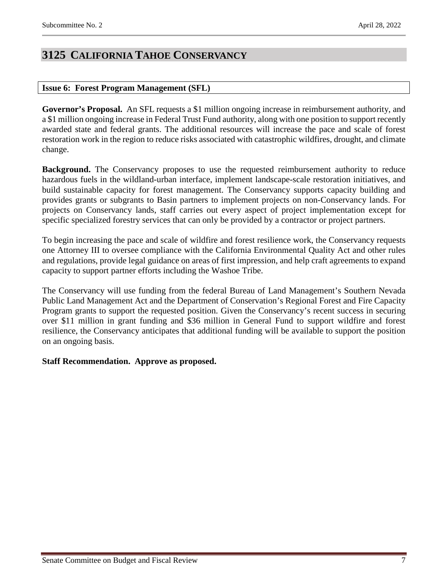# <span id="page-6-0"></span>**3125 CALIFORNIA TAHOE CONSERVANCY**

### <span id="page-6-1"></span>**Issue 6: Forest Program Management (SFL)**

**Governor's Proposal.** An SFL requests a \$1 million ongoing increase in reimbursement authority, and a \$1 million ongoing increase in Federal Trust Fund authority, along with one position to support recently awarded state and federal grants. The additional resources will increase the pace and scale of forest restoration work in the region to reduce risks associated with catastrophic wildfires, drought, and climate change.

**Background.** The Conservancy proposes to use the requested reimbursement authority to reduce hazardous fuels in the wildland-urban interface, implement landscape-scale restoration initiatives, and build sustainable capacity for forest management. The Conservancy supports capacity building and provides grants or subgrants to Basin partners to implement projects on non-Conservancy lands. For projects on Conservancy lands, staff carries out every aspect of project implementation except for specific specialized forestry services that can only be provided by a contractor or project partners.

To begin increasing the pace and scale of wildfire and forest resilience work, the Conservancy requests one Attorney III to oversee compliance with the California Environmental Quality Act and other rules and regulations, provide legal guidance on areas of first impression, and help craft agreements to expand capacity to support partner efforts including the Washoe Tribe.

The Conservancy will use funding from the federal Bureau of Land Management's Southern Nevada Public Land Management Act and the Department of Conservation's Regional Forest and Fire Capacity Program grants to support the requested position. Given the Conservancy's recent success in securing over \$11 million in grant funding and \$36 million in General Fund to support wildfire and forest resilience, the Conservancy anticipates that additional funding will be available to support the position on an ongoing basis.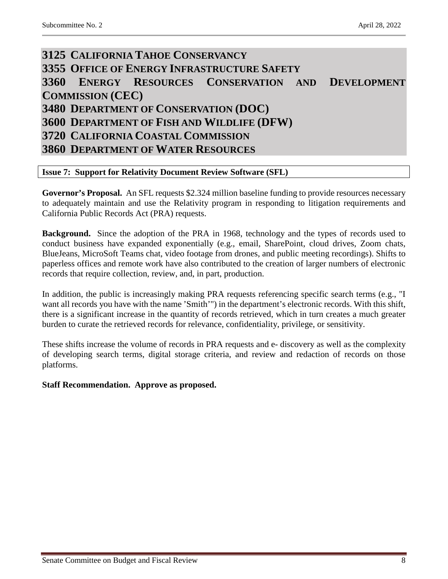# <span id="page-7-3"></span><span id="page-7-2"></span><span id="page-7-1"></span><span id="page-7-0"></span>**3125 CALIFORNIA TAHOE CONSERVANCY 3355 OFFICE OF ENERGY INFRASTRUCTURE SAFETY 3360 ENERGY RESOURCES CONSERVATION AND DEVELOPMENT COMMISSION (CEC) 3480 DEPARTMENT OF CONSERVATION (DOC) 3600 DEPARTMENT OF FISH AND WILDLIFE (DFW) 3720 CALIFORNIA COASTAL COMMISSION 3860 DEPARTMENT OF WATER RESOURCES**

### <span id="page-7-7"></span><span id="page-7-6"></span><span id="page-7-5"></span><span id="page-7-4"></span>**Issue 7: Support for Relativity Document Review Software (SFL)**

Governor's Proposal. An SFL requests \$2.324 million baseline funding to provide resources necessary to adequately maintain and use the Relativity program in responding to litigation requirements and California Public Records Act (PRA) requests.

**Background.** Since the adoption of the PRA in 1968, technology and the types of records used to conduct business have expanded exponentially (e.g., email, SharePoint, cloud drives, Zoom chats, BlueJeans, MicroSoft Teams chat, video footage from drones, and public meeting recordings). Shifts to paperless offices and remote work have also contributed to the creation of larger numbers of electronic records that require collection, review, and, in part, production.

In addition, the public is increasingly making PRA requests referencing specific search terms (e.g., "I want all records you have with the name 'Smith'") in the department's electronic records. With this shift, there is a significant increase in the quantity of records retrieved, which in turn creates a much greater burden to curate the retrieved records for relevance, confidentiality, privilege, or sensitivity.

These shifts increase the volume of records in PRA requests and e- discovery as well as the complexity of developing search terms, digital storage criteria, and review and redaction of records on those platforms.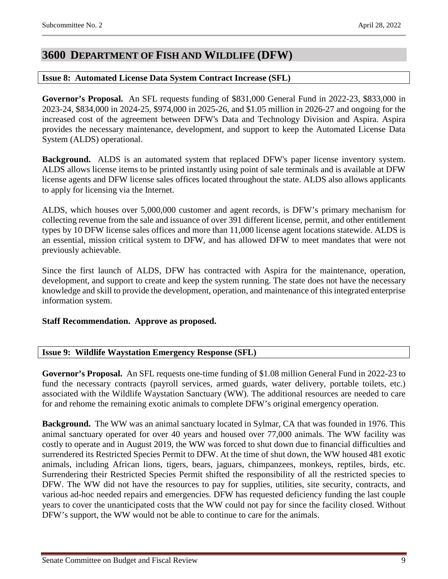# <span id="page-8-0"></span>**3600 DEPARTMENT OF FISH AND WILDLIFE (DFW)**

## <span id="page-8-1"></span>**Issue 8: Automated License Data System Contract Increase (SFL)**

**Governor's Proposal.** An SFL requests funding of \$831,000 General Fund in 2022-23, \$833,000 in 2023-24, \$834,000 in 2024-25, \$974,000 in 2025-26, and \$1.05 million in 2026-27 and ongoing for the increased cost of the agreement between DFW's Data and Technology Division and Aspira. Aspira provides the necessary maintenance, development, and support to keep the Automated License Data System (ALDS) operational.

**Background.** ALDS is an automated system that replaced DFW's paper license inventory system. ALDS allows license items to be printed instantly using point of sale terminals and is available at DFW license agents and DFW license sales offices located throughout the state. ALDS also allows applicants to apply for licensing via the Internet.

ALDS, which houses over 5,000,000 customer and agent records, is DFW's primary mechanism for collecting revenue from the sale and issuance of over 391 different license, permit, and other entitlement types by 10 DFW license sales offices and more than 11,000 license agent locations statewide. ALDS is an essential, mission critical system to DFW, and has allowed DFW to meet mandates that were not previously achievable.

Since the first launch of ALDS, DFW has contracted with Aspira for the maintenance, operation, development, and support to create and keep the system running. The state does not have the necessary knowledge and skill to provide the development, operation, and maintenance of this integrated enterprise information system.

## **Staff Recommendation. Approve as proposed.**

## <span id="page-8-2"></span>**Issue 9: Wildlife Waystation Emergency Response (SFL)**

**Governor's Proposal.** An SFL requests one-time funding of \$1.08 million General Fund in 2022-23 to fund the necessary contracts (payroll services, armed guards, water delivery, portable toilets, etc.) associated with the Wildlife Waystation Sanctuary (WW). The additional resources are needed to care for and rehome the remaining exotic animals to complete DFW's original emergency operation.

**Background.** The WW was an animal sanctuary located in Sylmar, CA that was founded in 1976. This animal sanctuary operated for over 40 years and housed over 77,000 animals. The WW facility was costly to operate and in August 2019, the WW was forced to shut down due to financial difficulties and surrendered its Restricted Species Permit to DFW. At the time of shut down, the WW housed 481 exotic animals, including African lions, tigers, bears, jaguars, chimpanzees, monkeys, reptiles, birds, etc. Surrendering their Restricted Species Permit shifted the responsibility of all the restricted species to DFW. The WW did not have the resources to pay for supplies, utilities, site security, contracts, and various ad-hoc needed repairs and emergencies. DFW has requested deficiency funding the last couple years to cover the unanticipated costs that the WW could not pay for since the facility closed. Without DFW's support, the WW would not be able to continue to care for the animals.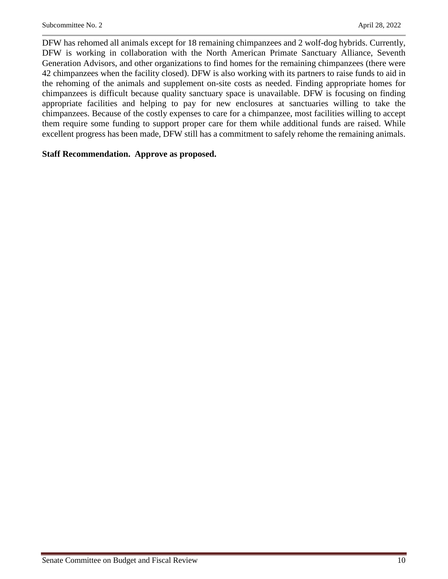DFW has rehomed all animals except for 18 remaining chimpanzees and 2 wolf-dog hybrids. Currently, DFW is working in collaboration with the North American Primate Sanctuary Alliance, Seventh Generation Advisors, and other organizations to find homes for the remaining chimpanzees (there were 42 chimpanzees when the facility closed). DFW is also working with its partners to raise funds to aid in the rehoming of the animals and supplement on-site costs as needed. Finding appropriate homes for chimpanzees is difficult because quality sanctuary space is unavailable. DFW is focusing on finding appropriate facilities and helping to pay for new enclosures at sanctuaries willing to take the chimpanzees. Because of the costly expenses to care for a chimpanzee, most facilities willing to accept them require some funding to support proper care for them while additional funds are raised. While excellent progress has been made, DFW still has a commitment to safely rehome the remaining animals.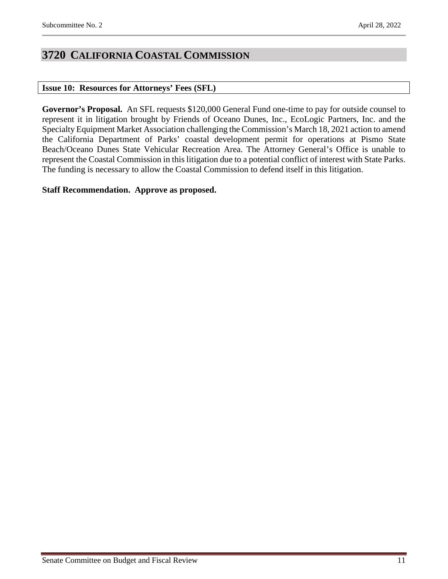# <span id="page-10-0"></span>**3720 CALIFORNIA COASTAL COMMISSION**

## <span id="page-10-1"></span>**Issue 10: Resources for Attorneys' Fees (SFL)**

**Governor's Proposal.** An SFL requests \$120,000 General Fund one-time to pay for outside counsel to represent it in litigation brought by Friends of Oceano Dunes, Inc., EcoLogic Partners, Inc. and the Specialty Equipment Market Association challenging the Commission's March 18, 2021 action to amend the California Department of Parks' coastal development permit for operations at Pismo State Beach/Oceano Dunes State Vehicular Recreation Area. The Attorney General's Office is unable to represent the Coastal Commission in this litigation due to a potential conflict of interest with State Parks. The funding is necessary to allow the Coastal Commission to defend itself in this litigation.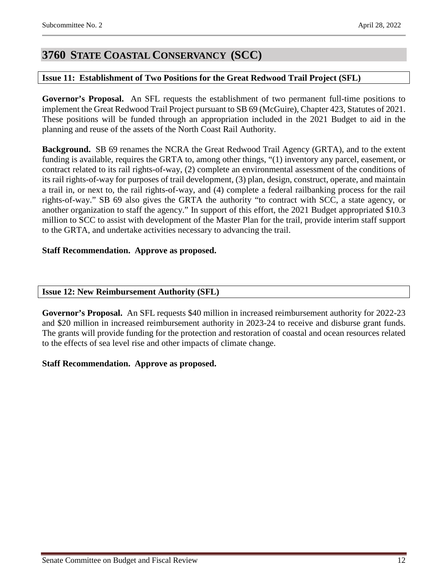# <span id="page-11-0"></span>**3760 STATE COASTAL CONSERVANCY (SCC)**

### <span id="page-11-1"></span>**Issue 11: Establishment of Two Positions for the Great Redwood Trail Project (SFL)**

**Governor's Proposal.** An SFL requests the establishment of two permanent full-time positions to implement the Great Redwood Trail Project pursuant to SB 69 (McGuire), Chapter 423, Statutes of 2021. These positions will be funded through an appropriation included in the 2021 Budget to aid in the planning and reuse of the assets of the North Coast Rail Authority.

**Background.** SB 69 renames the NCRA the Great Redwood Trail Agency (GRTA), and to the extent funding is available, requires the GRTA to, among other things, "(1) inventory any parcel, easement, or contract related to its rail rights-of-way, (2) complete an environmental assessment of the conditions of its rail rights-of-way for purposes of trail development, (3) plan, design, construct, operate, and maintain a trail in, or next to, the rail rights-of-way, and (4) complete a federal railbanking process for the rail rights-of-way." SB 69 also gives the GRTA the authority "to contract with SCC, a state agency, or another organization to staff the agency." In support of this effort, the 2021 Budget appropriated \$10.3 million to SCC to assist with development of the Master Plan for the trail, provide interim staff support to the GRTA, and undertake activities necessary to advancing the trail.

### **Staff Recommendation. Approve as proposed.**

#### <span id="page-11-2"></span>**Issue 12: New Reimbursement Authority (SFL)**

**Governor's Proposal.** An SFL requests \$40 million in increased reimbursement authority for 2022-23 and \$20 million in increased reimbursement authority in 2023-24 to receive and disburse grant funds. The grants will provide funding for the protection and restoration of coastal and ocean resources related to the effects of sea level rise and other impacts of climate change.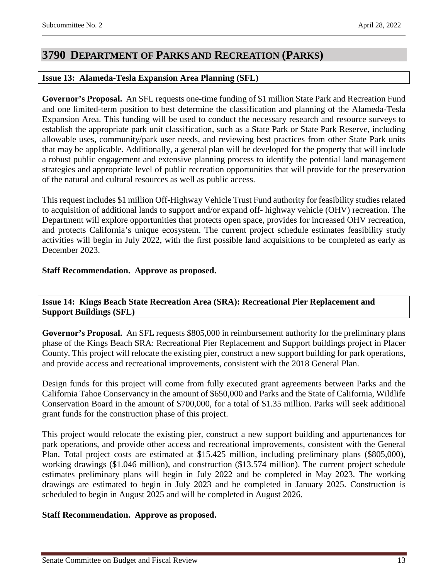# <span id="page-12-0"></span>**3790 DEPARTMENT OF PARKS AND RECREATION (PARKS)**

## <span id="page-12-1"></span>**Issue 13: Alameda-Tesla Expansion Area Planning (SFL)**

**Governor's Proposal.** An SFL requests one-time funding of \$1 million State Park and Recreation Fund and one limited-term position to best determine the classification and planning of the Alameda-Tesla Expansion Area. This funding will be used to conduct the necessary research and resource surveys to establish the appropriate park unit classification, such as a State Park or State Park Reserve, including allowable uses, community/park user needs, and reviewing best practices from other State Park units that may be applicable. Additionally, a general plan will be developed for the property that will include a robust public engagement and extensive planning process to identify the potential land management strategies and appropriate level of public recreation opportunities that will provide for the preservation of the natural and cultural resources as well as public access.

This request includes \$1 million Off-Highway Vehicle Trust Fund authority for feasibility studies related to acquisition of additional lands to support and/or expand off- highway vehicle (OHV) recreation. The Department will explore opportunities that protects open space, provides for increased OHV recreation, and protects California's unique ecosystem. The current project schedule estimates feasibility study activities will begin in July 2022, with the first possible land acquisitions to be completed as early as December 2023.

## **Staff Recommendation. Approve as proposed.**

<span id="page-12-2"></span>**Issue 14: Kings Beach State Recreation Area (SRA): Recreational Pier Replacement and Support Buildings (SFL)**

**Governor's Proposal.** An SFL requests \$805,000 in reimbursement authority for the preliminary plans phase of the Kings Beach SRA: Recreational Pier Replacement and Support buildings project in Placer County. This project will relocate the existing pier, construct a new support building for park operations, and provide access and recreational improvements, consistent with the 2018 General Plan.

Design funds for this project will come from fully executed grant agreements between Parks and the California Tahoe Conservancy in the amount of \$650,000 and Parks and the State of California, Wildlife Conservation Board in the amount of \$700,000, for a total of \$1.35 million. Parks will seek additional grant funds for the construction phase of this project.

This project would relocate the existing pier, construct a new support building and appurtenances for park operations, and provide other access and recreational improvements, consistent with the General Plan. Total project costs are estimated at \$15.425 million, including preliminary plans (\$805,000), working drawings (\$1.046 million), and construction (\$13.574 million). The current project schedule estimates preliminary plans will begin in July 2022 and be completed in May 2023. The working drawings are estimated to begin in July 2023 and be completed in January 2025. Construction is scheduled to begin in August 2025 and will be completed in August 2026.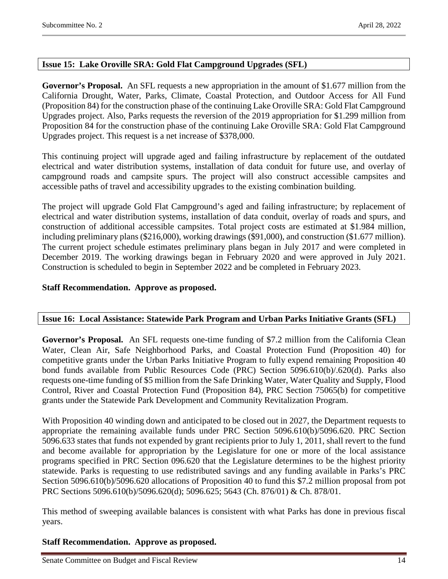# <span id="page-13-0"></span>**Issue 15: Lake Oroville SRA: Gold Flat Campground Upgrades (SFL)**

**Governor's Proposal.** An SFL requests a new appropriation in the amount of \$1.677 million from the California Drought, Water, Parks, Climate, Coastal Protection, and Outdoor Access for All Fund (Proposition 84) for the construction phase of the continuing Lake Oroville SRA: Gold Flat Campground Upgrades project. Also, Parks requests the reversion of the 2019 appropriation for \$1.299 million from Proposition 84 for the construction phase of the continuing Lake Oroville SRA: Gold Flat Campground Upgrades project. This request is a net increase of \$378,000.

This continuing project will upgrade aged and failing infrastructure by replacement of the outdated electrical and water distribution systems, installation of data conduit for future use, and overlay of campground roads and campsite spurs. The project will also construct accessible campsites and accessible paths of travel and accessibility upgrades to the existing combination building.

The project will upgrade Gold Flat Campground's aged and failing infrastructure; by replacement of electrical and water distribution systems, installation of data conduit, overlay of roads and spurs, and construction of additional accessible campsites. Total project costs are estimated at \$1.984 million, including preliminary plans (\$216,000), working drawings (\$91,000), and construction (\$1.677 million). The current project schedule estimates preliminary plans began in July 2017 and were completed in December 2019. The working drawings began in February 2020 and were approved in July 2021. Construction is scheduled to begin in September 2022 and be completed in February 2023.

### **Staff Recommendation. Approve as proposed.**

## <span id="page-13-1"></span>**Issue 16: Local Assistance: Statewide Park Program and Urban Parks Initiative Grants (SFL)**

**Governor's Proposal.** An SFL requests one-time funding of \$7.2 million from the California Clean Water, Clean Air, Safe Neighborhood Parks, and Coastal Protection Fund (Proposition 40) for competitive grants under the Urban Parks Initiative Program to fully expend remaining Proposition 40 bond funds available from Public Resources Code (PRC) Section 5096.610(b)/.620(d). Parks also requests one-time funding of \$5 million from the Safe Drinking Water, Water Quality and Supply, Flood Control, River and Coastal Protection Fund (Proposition 84), PRC Section 75065(b) for competitive grants under the Statewide Park Development and Community Revitalization Program.

With Proposition 40 winding down and anticipated to be closed out in 2027, the Department requests to appropriate the remaining available funds under PRC Section 5096.610(b)/5096.620. PRC Section 5096.633 states that funds not expended by grant recipients prior to July 1, 2011, shall revert to the fund and become available for appropriation by the Legislature for one or more of the local assistance programs specified in PRC Section 096.620 that the Legislature determines to be the highest priority statewide. Parks is requesting to use redistributed savings and any funding available in Parks's PRC Section 5096.610(b)/5096.620 allocations of Proposition 40 to fund this \$7.2 million proposal from pot PRC Sections 5096.610(b)/5096.620(d); 5096.625; 5643 (Ch. 876/01) & Ch. 878/01.

This method of sweeping available balances is consistent with what Parks has done in previous fiscal years.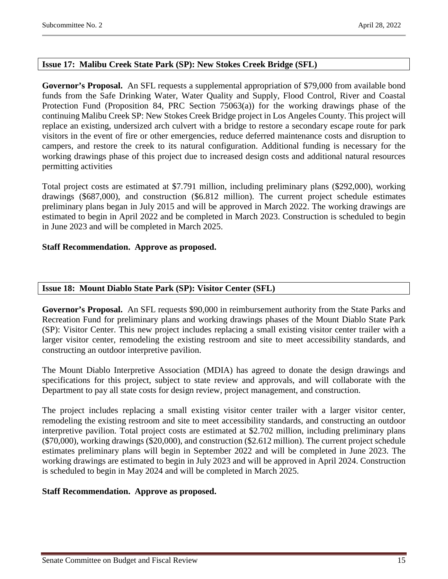# <span id="page-14-0"></span>**Issue 17: Malibu Creek State Park (SP): New Stokes Creek Bridge (SFL)**

**Governor's Proposal.** An SFL requests a supplemental appropriation of \$79,000 from available bond funds from the Safe Drinking Water, Water Quality and Supply, Flood Control, River and Coastal Protection Fund (Proposition 84, PRC Section 75063(a)) for the working drawings phase of the continuing Malibu Creek SP: New Stokes Creek Bridge project in Los Angeles County. This project will replace an existing, undersized arch culvert with a bridge to restore a secondary escape route for park visitors in the event of fire or other emergencies, reduce deferred maintenance costs and disruption to campers, and restore the creek to its natural configuration. Additional funding is necessary for the working drawings phase of this project due to increased design costs and additional natural resources permitting activities

Total project costs are estimated at \$7.791 million, including preliminary plans (\$292,000), working drawings (\$687,000), and construction (\$6.812 million). The current project schedule estimates preliminary plans began in July 2015 and will be approved in March 2022. The working drawings are estimated to begin in April 2022 and be completed in March 2023. Construction is scheduled to begin in June 2023 and will be completed in March 2025.

## **Staff Recommendation. Approve as proposed.**

# <span id="page-14-1"></span>**Issue 18: Mount Diablo State Park (SP): Visitor Center (SFL)**

**Governor's Proposal.** An SFL requests \$90,000 in reimbursement authority from the State Parks and Recreation Fund for preliminary plans and working drawings phases of the Mount Diablo State Park (SP): Visitor Center. This new project includes replacing a small existing visitor center trailer with a larger visitor center, remodeling the existing restroom and site to meet accessibility standards, and constructing an outdoor interpretive pavilion.

The Mount Diablo Interpretive Association (MDIA) has agreed to donate the design drawings and specifications for this project, subject to state review and approvals, and will collaborate with the Department to pay all state costs for design review, project management, and construction.

The project includes replacing a small existing visitor center trailer with a larger visitor center, remodeling the existing restroom and site to meet accessibility standards, and constructing an outdoor interpretive pavilion. Total project costs are estimated at \$2.702 million, including preliminary plans (\$70,000), working drawings (\$20,000), and construction (\$2.612 million). The current project schedule estimates preliminary plans will begin in September 2022 and will be completed in June 2023. The working drawings are estimated to begin in July 2023 and will be approved in April 2024. Construction is scheduled to begin in May 2024 and will be completed in March 2025.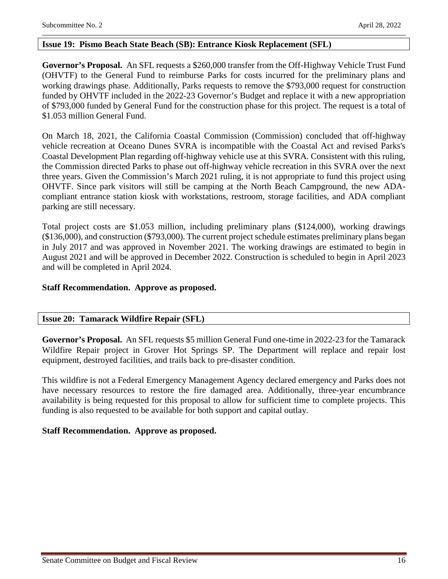### <span id="page-15-0"></span>**Issue 19: Pismo Beach State Beach (SB): Entrance Kiosk Replacement (SFL)**

**Governor's Proposal.** An SFL requests a \$260,000 transfer from the Off-Highway Vehicle Trust Fund (OHVTF) to the General Fund to reimburse Parks for costs incurred for the preliminary plans and working drawings phase. Additionally, Parks requests to remove the \$793,000 request for construction funded by OHVTF included in the 2022-23 Governor's Budget and replace it with a new appropriation of \$793,000 funded by General Fund for the construction phase for this project. The request is a total of \$1.053 million General Fund.

On March 18, 2021, the California Coastal Commission (Commission) concluded that off-highway vehicle recreation at Oceano Dunes SVRA is incompatible with the Coastal Act and revised Parks's Coastal Development Plan regarding off-highway vehicle use at this SVRA. Consistent with this ruling, the Commission directed Parks to phase out off-highway vehicle recreation in this SVRA over the next three years. Given the Commission's March 2021 ruling, it is not appropriate to fund this project using OHVTF. Since park visitors will still be camping at the North Beach Campground, the new ADAcompliant entrance station kiosk with workstations, restroom, storage facilities, and ADA compliant parking are still necessary.

Total project costs are \$1.053 million, including preliminary plans (\$124,000), working drawings (\$136,000), and construction (\$793,000). The current project schedule estimates preliminary plans began in July 2017 and was approved in November 2021. The working drawings are estimated to begin in August 2021 and will be approved in December 2022. Construction is scheduled to begin in April 2023 and will be completed in April 2024.

#### **Staff Recommendation. Approve as proposed.**

#### <span id="page-15-1"></span>**Issue 20: Tamarack Wildfire Repair (SFL)**

**Governor's Proposal.** An SFL requests \$5 million General Fund one-time in 2022-23 for the Tamarack Wildfire Repair project in Grover Hot Springs SP. The Department will replace and repair lost equipment, destroyed facilities, and trails back to pre-disaster condition.

This wildfire is not a Federal Emergency Management Agency declared emergency and Parks does not have necessary resources to restore the fire damaged area. Additionally, three-year encumbrance availability is being requested for this proposal to allow for sufficient time to complete projects. This funding is also requested to be available for both support and capital outlay.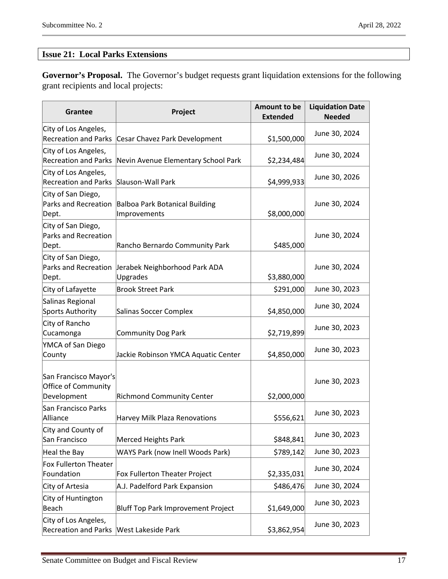# <span id="page-16-0"></span>**Issue 21: Local Parks Extensions**

**Governor's Proposal.** The Governor's budget requests grant liquidation extensions for the following grant recipients and local projects:

| <b>Grantee</b>                                              | Project                                        | Amount to be<br><b>Extended</b> | <b>Liquidation Date</b><br><b>Needed</b> |
|-------------------------------------------------------------|------------------------------------------------|---------------------------------|------------------------------------------|
| City of Los Angeles,<br><b>Recreation and Parks</b>         | Cesar Chavez Park Development                  | \$1,500,000                     | June 30, 2024                            |
| City of Los Angeles,<br><b>Recreation and Parks</b>         | Nevin Avenue Elementary School Park            | \$2,234,484                     | June 30, 2024                            |
| City of Los Angeles,<br><b>Recreation and Parks</b>         | Slauson-Wall Park                              | \$4,999,933                     | June 30, 2026                            |
| City of San Diego,<br>Parks and Recreation<br>Dept.         | Balboa Park Botanical Building<br>Improvements | \$8,000,000                     | June 30, 2024                            |
| City of San Diego,<br>Parks and Recreation<br>Dept.         | Rancho Bernardo Community Park                 | \$485,000                       | June 30, 2024                            |
| City of San Diego,<br>Parks and Recreation<br>Dept.         | Jerabek Neighborhood Park ADA<br>Upgrades      | \$3,880,000                     | June 30, 2024                            |
| City of Lafayette                                           | <b>Brook Street Park</b>                       | \$291,000                       | June 30, 2023                            |
| Salinas Regional<br>Sports Authority                        | Salinas Soccer Complex                         | \$4,850,000                     | June 30, 2024                            |
| City of Rancho<br>Cucamonga                                 | Community Dog Park                             | \$2,719,899                     | June 30, 2023                            |
| YMCA of San Diego<br>County                                 | Jackie Robinson YMCA Aquatic Center            | \$4,850,000                     | June 30, 2023                            |
| San Francisco Mayor's<br>Office of Community<br>Development | <b>Richmond Community Center</b>               | \$2,000,000                     | June 30, 2023                            |
| San Francisco Parks<br>Alliance                             | Harvey Milk Plaza Renovations                  | \$556,621                       | June 30, 2023                            |
| City and County of<br>San Francisco                         | Merced Heights Park                            | \$848,841                       | June 30, 2023                            |
| Heal the Bay                                                | WAYS Park (now Inell Woods Park)               | \$789,142                       | June 30, 2023                            |
| Fox Fullerton Theater<br>Foundation                         | Fox Fullerton Theater Project                  | \$2,335,031                     | June 30, 2024                            |
| City of Artesia                                             | A.J. Padelford Park Expansion                  | \$486,476                       | June 30, 2024                            |
| City of Huntington<br>Beach                                 | Bluff Top Park Improvement Project             | \$1,649,000                     | June 30, 2023                            |
| City of Los Angeles,<br><b>Recreation and Parks</b>         | <b>West Lakeside Park</b>                      | \$3,862,954                     | June 30, 2023                            |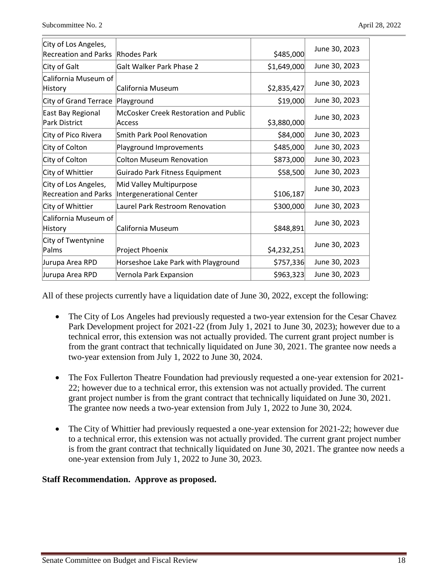| City of Los Angeles,<br><b>Recreation and Parks</b> | Rhodes Park                                         | \$485,000   | June 30, 2023 |
|-----------------------------------------------------|-----------------------------------------------------|-------------|---------------|
| City of Galt                                        | <b>Galt Walker Park Phase 2</b>                     | \$1,649,000 | June 30, 2023 |
| California Museum of<br>History                     | California Museum                                   | \$2,835,427 | June 30, 2023 |
| City of Grand Terrace                               | Playground                                          | \$19,000    | June 30, 2023 |
| East Bay Regional<br>Park District                  | McCosker Creek Restoration and Public<br>Access     | \$3,880,000 | June 30, 2023 |
| City of Pico Rivera                                 | <b>Smith Park Pool Renovation</b>                   | \$84,000    | June 30, 2023 |
| City of Colton                                      | Playground Improvements                             | \$485,000   | June 30, 2023 |
| City of Colton                                      | <b>Colton Museum Renovation</b>                     | \$873,000   | June 30, 2023 |
| City of Whittier                                    | Guirado Park Fitness Equipment                      | \$58,500    | June 30, 2023 |
| City of Los Angeles,<br><b>Recreation and Parks</b> | Mid Valley Multipurpose<br>Intergenerational Center | \$106,187   | June 30, 2023 |
| City of Whittier                                    | Laurel Park Restroom Renovation                     | \$300,000   | June 30, 2023 |
| California Museum of<br>History                     | California Museum                                   | \$848,891   | June 30, 2023 |
| City of Twentynine<br>Palms                         | Project Phoenix                                     | \$4,232,251 | June 30, 2023 |
| Jurupa Area RPD                                     | Horseshoe Lake Park with Playground                 | \$757,336   | June 30, 2023 |
| Jurupa Area RPD                                     | Vernola Park Expansion                              | \$963,323   | June 30, 2023 |

All of these projects currently have a liquidation date of June 30, 2022, except the following:

- The City of Los Angeles had previously requested a two-year extension for the Cesar Chavez Park Development project for 2021-22 (from July 1, 2021 to June 30, 2023); however due to a technical error, this extension was not actually provided. The current grant project number is from the grant contract that technically liquidated on June 30, 2021. The grantee now needs a two-year extension from July 1, 2022 to June 30, 2024.
- The Fox Fullerton Theatre Foundation had previously requested a one-year extension for 2021-22; however due to a technical error, this extension was not actually provided. The current grant project number is from the grant contract that technically liquidated on June 30, 2021. The grantee now needs a two-year extension from July 1, 2022 to June 30, 2024.
- The City of Whittier had previously requested a one-year extension for 2021-22; however due to a technical error, this extension was not actually provided. The current grant project number is from the grant contract that technically liquidated on June 30, 2021. The grantee now needs a one-year extension from July 1, 2022 to June 30, 2023.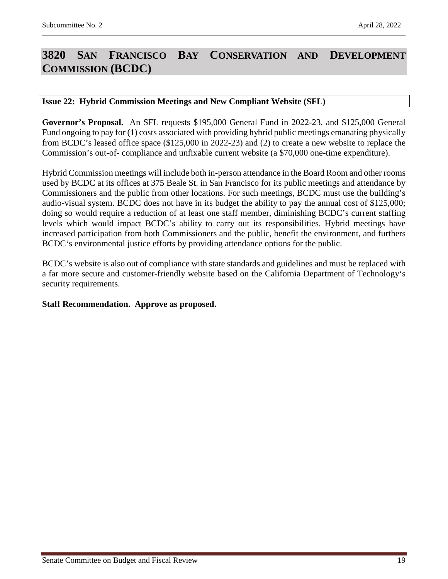# <span id="page-18-0"></span>**3820 SAN FRANCISCO BAY CONSERVATION AND DEVELOPMENT COMMISSION (BCDC)**

#### <span id="page-18-1"></span>**Issue 22: Hybrid Commission Meetings and New Compliant Website (SFL)**

**Governor's Proposal.** An SFL requests \$195,000 General Fund in 2022-23, and \$125,000 General Fund ongoing to pay for (1) costs associated with providing hybrid public meetings emanating physically from BCDC's leased office space (\$125,000 in 2022-23) and (2) to create a new website to replace the Commission's out-of- compliance and unfixable current website (a \$70,000 one-time expenditure).

Hybrid Commission meetings will include both in-person attendance in the Board Room and other rooms used by BCDC at its offices at 375 Beale St. in San Francisco for its public meetings and attendance by Commissioners and the public from other locations. For such meetings, BCDC must use the building's audio-visual system. BCDC does not have in its budget the ability to pay the annual cost of \$125,000; doing so would require a reduction of at least one staff member, diminishing BCDC's current staffing levels which would impact BCDC's ability to carry out its responsibilities. Hybrid meetings have increased participation from both Commissioners and the public, benefit the environment, and furthers BCDC's environmental justice efforts by providing attendance options for the public.

BCDC's website is also out of compliance with state standards and guidelines and must be replaced with a far more secure and customer-friendly website based on the California Department of Technology's security requirements.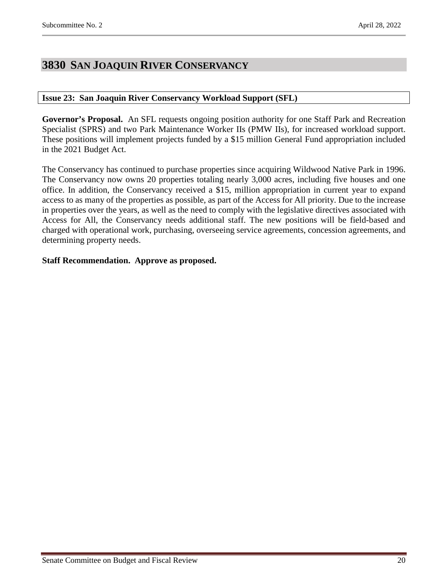# <span id="page-19-0"></span>**3830 SAN JOAQUIN RIVER CONSERVANCY**

### <span id="page-19-1"></span>**Issue 23: San Joaquin River Conservancy Workload Support (SFL)**

**Governor's Proposal.** An SFL requests ongoing position authority for one Staff Park and Recreation Specialist (SPRS) and two Park Maintenance Worker IIs (PMW IIs), for increased workload support. These positions will implement projects funded by a \$15 million General Fund appropriation included in the 2021 Budget Act.

The Conservancy has continued to purchase properties since acquiring Wildwood Native Park in 1996. The Conservancy now owns 20 properties totaling nearly 3,000 acres, including five houses and one office. In addition, the Conservancy received a \$15, million appropriation in current year to expand access to as many of the properties as possible, as part of the Access for All priority. Due to the increase in properties over the years, as well as the need to comply with the legislative directives associated with Access for All, the Conservancy needs additional staff. The new positions will be field-based and charged with operational work, purchasing, overseeing service agreements, concession agreements, and determining property needs.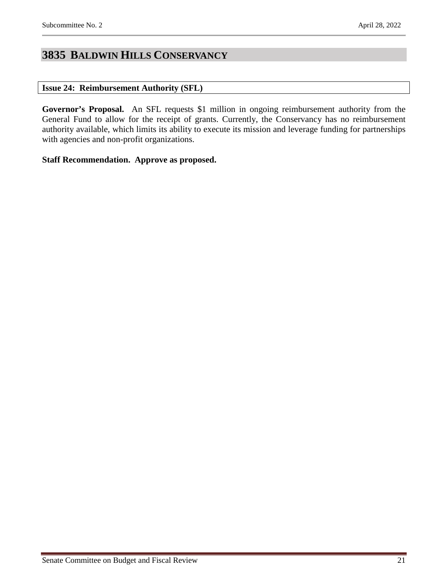# <span id="page-20-0"></span>**3835 BALDWIN HILLS CONSERVANCY**

### <span id="page-20-1"></span>**Issue 24: Reimbursement Authority (SFL)**

**Governor's Proposal.** An SFL requests \$1 million in ongoing reimbursement authority from the General Fund to allow for the receipt of grants. Currently, the Conservancy has no reimbursement authority available, which limits its ability to execute its mission and leverage funding for partnerships with agencies and non-profit organizations.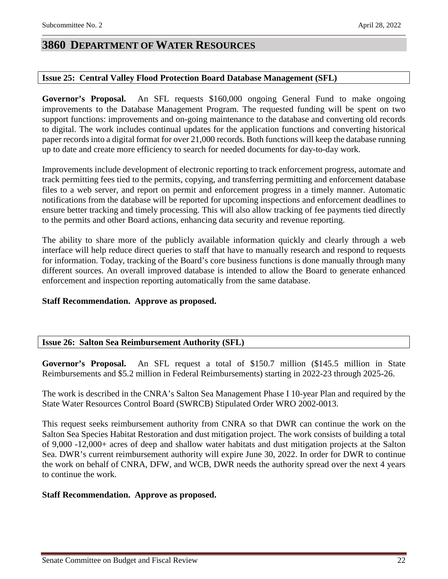# <span id="page-21-0"></span>**3860 DEPARTMENT OF WATER RESOURCES**

### <span id="page-21-1"></span>**Issue 25: Central Valley Flood Protection Board Database Management (SFL)**

**Governor's Proposal.** An SFL requests \$160,000 ongoing General Fund to make ongoing improvements to the Database Management Program. The requested funding will be spent on two support functions: improvements and on-going maintenance to the database and converting old records to digital. The work includes continual updates for the application functions and converting historical paper records into a digital format for over 21,000 records. Both functions will keep the database running up to date and create more efficiency to search for needed documents for day-to-day work.

Improvements include development of electronic reporting to track enforcement progress, automate and track permitting fees tied to the permits, copying, and transferring permitting and enforcement database files to a web server, and report on permit and enforcement progress in a timely manner. Automatic notifications from the database will be reported for upcoming inspections and enforcement deadlines to ensure better tracking and timely processing. This will also allow tracking of fee payments tied directly to the permits and other Board actions, enhancing data security and revenue reporting.

The ability to share more of the publicly available information quickly and clearly through a web interface will help reduce direct queries to staff that have to manually research and respond to requests for information. Today, tracking of the Board's core business functions is done manually through many different sources. An overall improved database is intended to allow the Board to generate enhanced enforcement and inspection reporting automatically from the same database.

#### **Staff Recommendation. Approve as proposed.**

## <span id="page-21-2"></span>**Issue 26: Salton Sea Reimbursement Authority (SFL)**

**Governor's Proposal.** An SFL request a total of \$150.7 million (\$145.5 million in State Reimbursements and \$5.2 million in Federal Reimbursements) starting in 2022-23 through 2025-26.

The work is described in the CNRA's Salton Sea Management Phase I 10-year Plan and required by the State Water Resources Control Board (SWRCB) Stipulated Order WRO 2002-0013.

This request seeks reimbursement authority from CNRA so that DWR can continue the work on the Salton Sea Species Habitat Restoration and dust mitigation project. The work consists of building a total of 9,000 -12,000+ acres of deep and shallow water habitats and dust mitigation projects at the Salton Sea. DWR's current reimbursement authority will expire June 30, 2022. In order for DWR to continue the work on behalf of CNRA, DFW, and WCB, DWR needs the authority spread over the next 4 years to continue the work.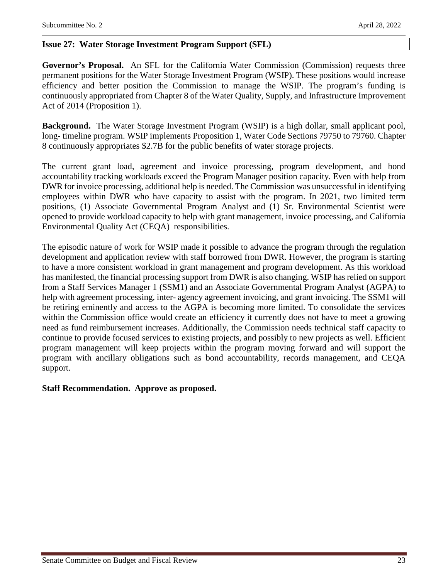#### <span id="page-22-0"></span>**Issue 27: Water Storage Investment Program Support (SFL)**

**Governor's Proposal.** An SFL for the California Water Commission (Commission) requests three permanent positions for the Water Storage Investment Program (WSIP). These positions would increase efficiency and better position the Commission to manage the WSIP. The program's funding is continuously appropriated from Chapter 8 of the Water Quality, Supply, and Infrastructure Improvement Act of 2014 (Proposition 1).

**Background.** The Water Storage Investment Program (WSIP) is a high dollar, small applicant pool, long- timeline program. WSIP implements Proposition 1, Water Code Sections 79750 to 79760. Chapter 8 continuously appropriates \$2.7B for the public benefits of water storage projects.

The current grant load, agreement and invoice processing, program development, and bond accountability tracking workloads exceed the Program Manager position capacity. Even with help from DWR for invoice processing, additional help is needed. The Commission was unsuccessful in identifying employees within DWR who have capacity to assist with the program. In 2021, two limited term positions, (1) Associate Governmental Program Analyst and (1) Sr. Environmental Scientist were opened to provide workload capacity to help with grant management, invoice processing, and California Environmental Quality Act (CEQA) responsibilities.

The episodic nature of work for WSIP made it possible to advance the program through the regulation development and application review with staff borrowed from DWR. However, the program is starting to have a more consistent workload in grant management and program development. As this workload has manifested, the financial processing support from DWR is also changing. WSIP has relied on support from a Staff Services Manager 1 (SSM1) and an Associate Governmental Program Analyst (AGPA) to help with agreement processing, inter- agency agreement invoicing, and grant invoicing. The SSM1 will be retiring eminently and access to the AGPA is becoming more limited. To consolidate the services within the Commission office would create an efficiency it currently does not have to meet a growing need as fund reimbursement increases. Additionally, the Commission needs technical staff capacity to continue to provide focused services to existing projects, and possibly to new projects as well. Efficient program management will keep projects within the program moving forward and will support the program with ancillary obligations such as bond accountability, records management, and CEQA support.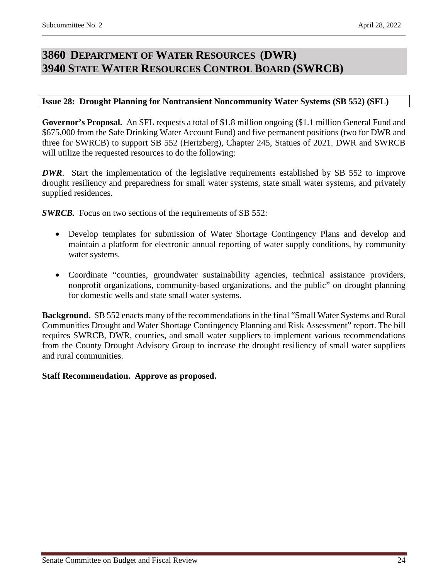# <span id="page-23-1"></span><span id="page-23-0"></span>**3860 DEPARTMENT OF WATER RESOURCES (DWR) 3940 STATE WATER RESOURCES CONTROL BOARD (SWRCB)**

### <span id="page-23-2"></span>**Issue 28: Drought Planning for Nontransient Noncommunity Water Systems (SB 552) (SFL)**

**Governor's Proposal.** An SFL requests a total of \$1.8 million ongoing (\$1.1 million General Fund and \$675,000 from the Safe Drinking Water Account Fund) and five permanent positions (two for DWR and three for SWRCB) to support SB 552 (Hertzberg), Chapter 245, Statues of 2021. DWR and SWRCB will utilize the requested resources to do the following:

*DWR*. Start the implementation of the legislative requirements established by SB 552 to improve drought resiliency and preparedness for small water systems, state small water systems, and privately supplied residences.

**SWRCB.** Focus on two sections of the requirements of SB 552:

- Develop templates for submission of Water Shortage Contingency Plans and develop and maintain a platform for electronic annual reporting of water supply conditions, by community water systems.
- Coordinate "counties, groundwater sustainability agencies, technical assistance providers, nonprofit organizations, community-based organizations, and the public" on drought planning for domestic wells and state small water systems.

**Background.** SB 552 enacts many of the recommendations in the final "Small Water Systems and Rural Communities Drought and Water Shortage Contingency Planning and Risk Assessment" report. The bill requires SWRCB, DWR, counties, and small water suppliers to implement various recommendations from the County Drought Advisory Group to increase the drought resiliency of small water suppliers and rural communities.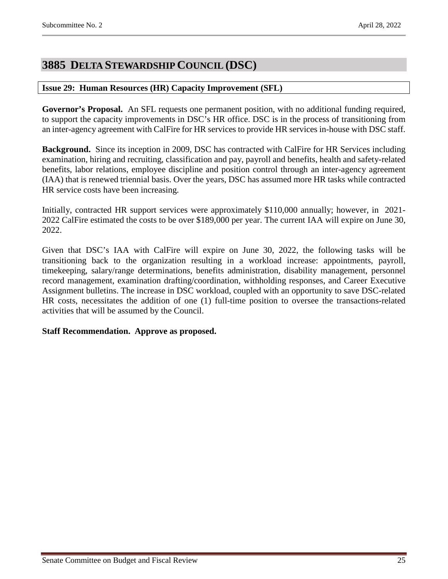# <span id="page-24-0"></span>**3885 DELTA STEWARDSHIP COUNCIL (DSC)**

### <span id="page-24-1"></span>**Issue 29: Human Resources (HR) Capacity Improvement (SFL)**

**Governor's Proposal.** An SFL requests one permanent position, with no additional funding required, to support the capacity improvements in DSC's HR office. DSC is in the process of transitioning from an inter-agency agreement with CalFire for HR services to provide HR services in-house with DSC staff.

**Background.** Since its inception in 2009, DSC has contracted with CalFire for HR Services including examination, hiring and recruiting, classification and pay, payroll and benefits, health and safety-related benefits, labor relations, employee discipline and position control through an inter-agency agreement (IAA) that is renewed triennial basis. Over the years, DSC has assumed more HR tasks while contracted HR service costs have been increasing.

Initially, contracted HR support services were approximately \$110,000 annually; however, in 2021- 2022 CalFire estimated the costs to be over \$189,000 per year. The current IAA will expire on June 30, 2022.

Given that DSC's IAA with CalFire will expire on June 30, 2022, the following tasks will be transitioning back to the organization resulting in a workload increase: appointments, payroll, timekeeping, salary/range determinations, benefits administration, disability management, personnel record management, examination drafting/coordination, withholding responses, and Career Executive Assignment bulletins. The increase in DSC workload, coupled with an opportunity to save DSC-related HR costs, necessitates the addition of one (1) full-time position to oversee the transactions-related activities that will be assumed by the Council.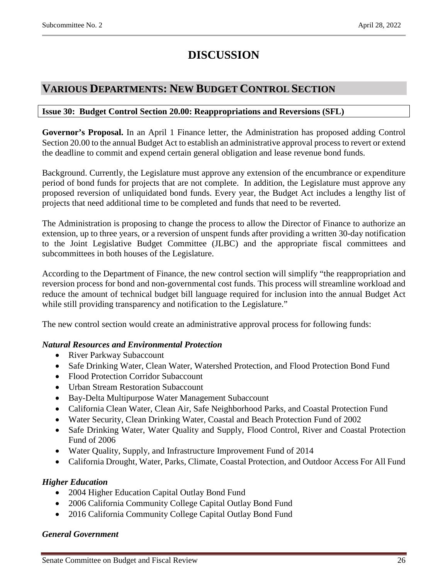# **DISCUSSION**

# <span id="page-25-0"></span>**VARIOUS DEPARTMENTS: NEW BUDGET CONTROL SECTION**

### <span id="page-25-1"></span>**Issue 30: Budget Control Section 20.00: Reappropriations and Reversions (SFL)**

**Governor's Proposal.** In an April 1 Finance letter, the Administration has proposed adding Control Section 20.00 to the annual Budget Act to establish an administrative approval process to revert or extend the deadline to commit and expend certain general obligation and lease revenue bond funds.

Background. Currently, the Legislature must approve any extension of the encumbrance or expenditure period of bond funds for projects that are not complete. In addition, the Legislature must approve any proposed reversion of unliquidated bond funds. Every year, the Budget Act includes a lengthy list of projects that need additional time to be completed and funds that need to be reverted.

The Administration is proposing to change the process to allow the Director of Finance to authorize an extension, up to three years, or a reversion of unspent funds after providing a written 30-day notification to the Joint Legislative Budget Committee (JLBC) and the appropriate fiscal committees and subcommittees in both houses of the Legislature.

According to the Department of Finance, the new control section will simplify "the reappropriation and reversion process for bond and non-governmental cost funds. This process will streamline workload and reduce the amount of technical budget bill language required for inclusion into the annual Budget Act while still providing transparency and notification to the Legislature."

The new control section would create an administrative approval process for following funds:

## *Natural Resources and Environmental Protection*

- River Parkway Subaccount
- Safe Drinking Water, Clean Water, Watershed Protection, and Flood Protection Bond Fund
- Flood Protection Corridor Subaccount
- Urban Stream Restoration Subaccount
- Bay-Delta Multipurpose Water Management Subaccount
- California Clean Water, Clean Air, Safe Neighborhood Parks, and Coastal Protection Fund
- Water Security, Clean Drinking Water, Coastal and Beach Protection Fund of 2002
- Safe Drinking Water, Water Quality and Supply, Flood Control, River and Coastal Protection Fund of 2006
- Water Quality, Supply, and Infrastructure Improvement Fund of 2014
- California Drought, Water, Parks, Climate, Coastal Protection, and Outdoor Access For All Fund

#### *Higher Education*

- 2004 Higher Education Capital Outlay Bond Fund
- 2006 California Community College Capital Outlay Bond Fund
- 2016 California Community College Capital Outlay Bond Fund

#### *General Government*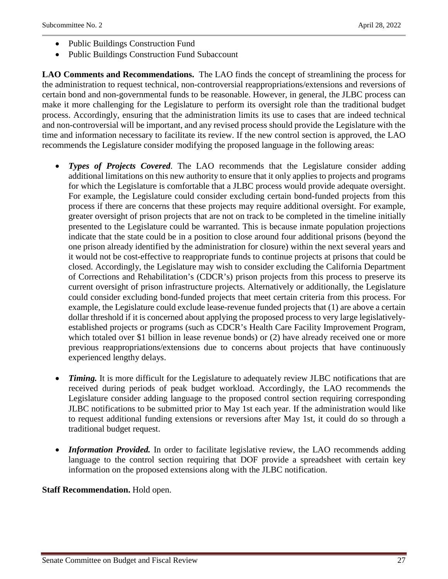- Public Buildings Construction Fund
- Public Buildings Construction Fund Subaccount

**LAO Comments and Recommendations.** The LAO finds the concept of streamlining the process for the administration to request technical, non-controversial reappropriations/extensions and reversions of certain bond and non-governmental funds to be reasonable. However, in general, the JLBC process can make it more challenging for the Legislature to perform its oversight role than the traditional budget process. Accordingly, ensuring that the administration limits its use to cases that are indeed technical and non-controversial will be important, and any revised process should provide the Legislature with the time and information necessary to facilitate its review. If the new control section is approved, the LAO recommends the Legislature consider modifying the proposed language in the following areas:

- *Types of Projects Covered*. The LAO recommends that the Legislature consider adding additional limitations on this new authority to ensure that it only applies to projects and programs for which the Legislature is comfortable that a JLBC process would provide adequate oversight. For example, the Legislature could consider excluding certain bond-funded projects from this process if there are concerns that these projects may require additional oversight. For example, greater oversight of prison projects that are not on track to be completed in the timeline initially presented to the Legislature could be warranted. This is because inmate population projections indicate that the state could be in a position to close around four additional prisons (beyond the one prison already identified by the administration for closure) within the next several years and it would not be cost-effective to reappropriate funds to continue projects at prisons that could be closed. Accordingly, the Legislature may wish to consider excluding the California Department of Corrections and Rehabilitation's (CDCR's) prison projects from this process to preserve its current oversight of prison infrastructure projects. Alternatively or additionally, the Legislature could consider excluding bond-funded projects that meet certain criteria from this process. For example, the Legislature could exclude lease-revenue funded projects that (1) are above a certain dollar threshold if it is concerned about applying the proposed process to very large legislativelyestablished projects or programs (such as CDCR's Health Care Facility Improvement Program, which totaled over \$1 billion in lease revenue bonds) or (2) have already received one or more previous reappropriations/extensions due to concerns about projects that have continuously experienced lengthy delays.
- *Timing.* It is more difficult for the Legislature to adequately review JLBC notifications that are received during periods of peak budget workload. Accordingly, the LAO recommends the Legislature consider adding language to the proposed control section requiring corresponding JLBC notifications to be submitted prior to May 1st each year. If the administration would like to request additional funding extensions or reversions after May 1st, it could do so through a traditional budget request.
- *Information Provided*. In order to facilitate legislative review, the LAO recommends adding language to the control section requiring that DOF provide a spreadsheet with certain key information on the proposed extensions along with the JLBC notification.

**Staff Recommendation.** Hold open.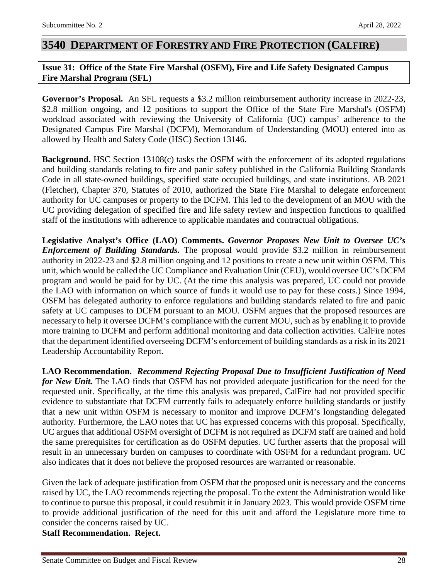# <span id="page-27-0"></span>**3540 DEPARTMENT OF FORESTRY AND FIRE PROTECTION (CALFIRE)**

## <span id="page-27-1"></span>**Issue 31: Office of the State Fire Marshal (OSFM), Fire and Life Safety Designated Campus Fire Marshal Program (SFL)**

**Governor's Proposal.** An SFL requests a \$3.2 million reimbursement authority increase in 2022-23, \$2.8 million ongoing, and 12 positions to support the Office of the State Fire Marshal's (OSFM) workload associated with reviewing the University of California (UC) campus' adherence to the Designated Campus Fire Marshal (DCFM), Memorandum of Understanding (MOU) entered into as allowed by Health and Safety Code (HSC) Section 13146.

**Background.** HSC Section 13108(c) tasks the OSFM with the enforcement of its adopted regulations and building standards relating to fire and panic safety published in the California Building Standards Code in all state-owned buildings, specified state occupied buildings, and state institutions. AB 2021 (Fletcher), Chapter 370, Statutes of 2010, authorized the State Fire Marshal to delegate enforcement authority for UC campuses or property to the DCFM. This led to the development of an MOU with the UC providing delegation of specified fire and life safety review and inspection functions to qualified staff of the institutions with adherence to applicable mandates and contractual obligations.

**Legislative Analyst's Office (LAO) Comments.** *Governor Proposes New Unit to Oversee UC's Enforcement of Building Standards.* The proposal would provide \$3.2 million in reimbursement authority in 2022-23 and \$2.8 million ongoing and 12 positions to create a new unit within OSFM. This unit, which would be called the UC Compliance and Evaluation Unit (CEU), would oversee UC's DCFM program and would be paid for by UC. (At the time this analysis was prepared, UC could not provide the LAO with information on which source of funds it would use to pay for these costs.) Since 1994, OSFM has delegated authority to enforce regulations and building standards related to fire and panic safety at UC campuses to DCFM pursuant to an MOU. OSFM argues that the proposed resources are necessary to help it oversee DCFM's compliance with the current MOU, such as by enabling it to provide more training to DCFM and perform additional monitoring and data collection activities. CalFire notes that the department identified overseeing DCFM's enforcement of building standards as a risk in its 2021 Leadership Accountability Report.

**LAO Recommendation.** *Recommend Rejecting Proposal Due to Insufficient Justification of Need for New Unit.* The LAO finds that OSFM has not provided adequate justification for the need for the requested unit. Specifically, at the time this analysis was prepared, CalFire had not provided specific evidence to substantiate that DCFM currently fails to adequately enforce building standards or justify that a new unit within OSFM is necessary to monitor and improve DCFM's longstanding delegated authority. Furthermore, the LAO notes that UC has expressed concerns with this proposal. Specifically, UC argues that additional OSFM oversight of DCFM is not required as DCFM staff are trained and hold the same prerequisites for certification as do OSFM deputies. UC further asserts that the proposal will result in an unnecessary burden on campuses to coordinate with OSFM for a redundant program. UC also indicates that it does not believe the proposed resources are warranted or reasonable.

Given the lack of adequate justification from OSFM that the proposed unit is necessary and the concerns raised by UC, the LAO recommends rejecting the proposal. To the extent the Administration would like to continue to pursue this proposal, it could resubmit it in January 2023. This would provide OSFM time to provide additional justification of the need for this unit and afford the Legislature more time to consider the concerns raised by UC. **Staff Recommendation. Reject.**

Senate Committee on Budget and Fiscal Review 28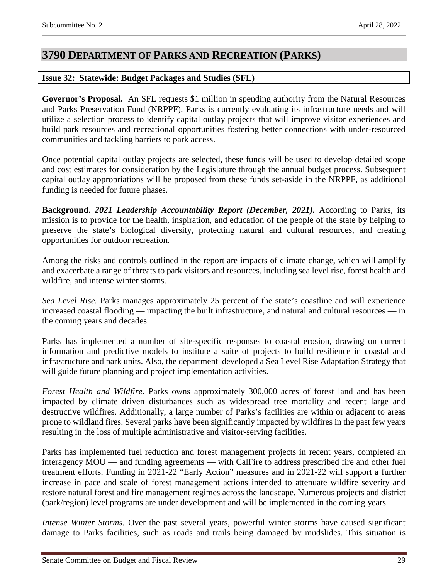# <span id="page-28-0"></span>**3790 DEPARTMENT OF PARKS AND RECREATION (PARKS)**

### <span id="page-28-1"></span>**Issue 32: Statewide: Budget Packages and Studies (SFL)**

**Governor's Proposal.** An SFL requests \$1 million in spending authority from the Natural Resources and Parks Preservation Fund (NRPPF). Parks is currently evaluating its infrastructure needs and will utilize a selection process to identify capital outlay projects that will improve visitor experiences and build park resources and recreational opportunities fostering better connections with under-resourced communities and tackling barriers to park access.

Once potential capital outlay projects are selected, these funds will be used to develop detailed scope and cost estimates for consideration by the Legislature through the annual budget process. Subsequent capital outlay appropriations will be proposed from these funds set-aside in the NRPPF, as additional funding is needed for future phases.

**Background.** *2021 Leadership Accountability Report (December, 2021).* According to Parks, its mission is to provide for the health, inspiration, and education of the people of the state by helping to preserve the state's biological diversity, protecting natural and cultural resources, and creating opportunities for outdoor recreation.

Among the risks and controls outlined in the report are impacts of climate change, which will amplify and exacerbate a range of threats to park visitors and resources, including sea level rise, forest health and wildfire, and intense winter storms.

*Sea Level Rise.* Parks manages approximately 25 percent of the state's coastline and will experience increased coastal flooding — impacting the built infrastructure, and natural and cultural resources — in the coming years and decades.

Parks has implemented a number of site-specific responses to coastal erosion, drawing on current information and predictive models to institute a suite of projects to build resilience in coastal and infrastructure and park units. Also, the department developed a Sea Level Rise Adaptation Strategy that will guide future planning and project implementation activities.

*Forest Health and Wildfire.* Parks owns approximately 300,000 acres of forest land and has been impacted by climate driven disturbances such as widespread tree mortality and recent large and destructive wildfires. Additionally, a large number of Parks's facilities are within or adjacent to areas prone to wildland fires. Several parks have been significantly impacted by wildfires in the past few years resulting in the loss of multiple administrative and visitor-serving facilities.

Parks has implemented fuel reduction and forest management projects in recent years, completed an interagency MOU — and funding agreements — with CalFire to address prescribed fire and other fuel treatment efforts. Funding in 2021-22 "Early Action" measures and in 2021-22 will support a further increase in pace and scale of forest management actions intended to attenuate wildfire severity and restore natural forest and fire management regimes across the landscape. Numerous projects and district (park/region) level programs are under development and will be implemented in the coming years.

*Intense Winter Storms.* Over the past several years, powerful winter storms have caused significant damage to Parks facilities, such as roads and trails being damaged by mudslides. This situation is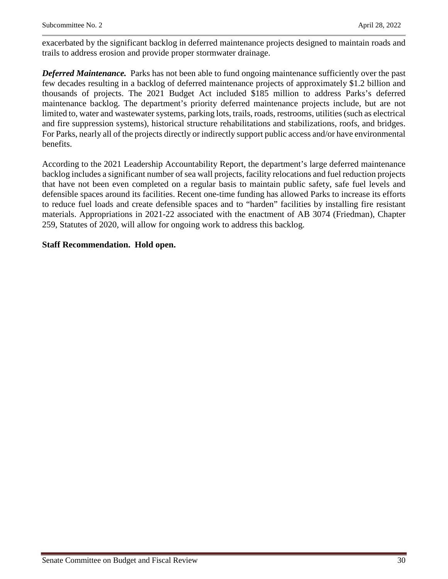exacerbated by the significant backlog in deferred maintenance projects designed to maintain roads and trails to address erosion and provide proper stormwater drainage.

*Deferred Maintenance.* Parks has not been able to fund ongoing maintenance sufficiently over the past few decades resulting in a backlog of deferred maintenance projects of approximately \$1.2 billion and thousands of projects. The 2021 Budget Act included \$185 million to address Parks's deferred maintenance backlog. The department's priority deferred maintenance projects include, but are not limited to, water and wastewater systems, parking lots, trails, roads, restrooms, utilities (such as electrical and fire suppression systems), historical structure rehabilitations and stabilizations, roofs, and bridges. For Parks, nearly all of the projects directly or indirectly support public access and/or have environmental benefits.

According to the 2021 Leadership Accountability Report, the department's large deferred maintenance backlog includes a significant number of sea wall projects, facility relocations and fuel reduction projects that have not been even completed on a regular basis to maintain public safety, safe fuel levels and defensible spaces around its facilities. Recent one-time funding has allowed Parks to increase its efforts to reduce fuel loads and create defensible spaces and to "harden" facilities by installing fire resistant materials. Appropriations in 2021-22 associated with the enactment of AB 3074 (Friedman), Chapter 259, Statutes of 2020, will allow for ongoing work to address this backlog.

### **Staff Recommendation. Hold open.**